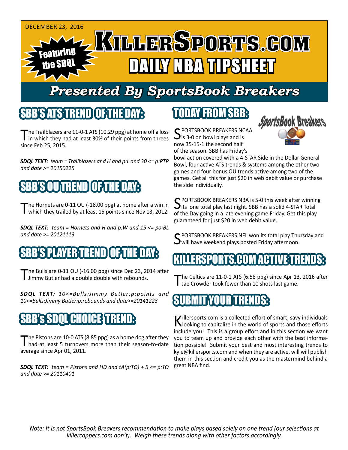

# *Presented By SportsBook Breakers*

## SBB'S ATSTREND

The Trailblazers are 11-0-1 ATS (10.29 ppg) at home off a loss<br>in which they had at least 30% of their points from threes since Feb 25, 2015.

*SDQL TEXT: team = Trailblazers and H and p:L and 30 <= p:PTP and date >= 20150225*

## SBB'S OU TREND OF THE DAY:

The Hornets are 0-11 OU (-18.00 ppg) at home after a win in which they trailed by at least 15 points since Nov 13, 2012.

*SDQL TEXT: team = Hornets and H and p:W and 15 <= po:BL and date >= 20121113*

## S PLAYER TREND I

The Bulls are 0-11 OU (-16.00 ppg) since Dec 23, 2014 after<br>I Jimmy Butler had a double double with rebounds.

*SDQL TEXT: 10<=Bulls:Jimmy Butler:p:points and 10<=Bulls:Jimmy Butler:p:rebounds and date>=20141223*

## SBB's SDQL CHOICE TREND:

The Pistons are 10-0 ATS (8.85 ppg) as a home dog after they<br>had at least 5 turnovers more than their season-to-date average since Apr 01, 2011.

*SDQL TEXT: team = Pistons and HD and tA(p:TO) + 5 <= p:TO and date >= 20110401*

## TODAY FROM SBB:

C PORTSBOOK BREAKERS NCAA  $\mathbf{\sum}$  is 3-0 on bowl plays and is now 35-15-1 the second half of the season. SBB has Friday's



bowl action covered with a 4-STAR Side in the Dollar General Bowl, four active ATS trends & systems among the other two games and four bonus OU trends active among two of the games. Get all this for just \$20 in web debit value or purchase the side individually.

SPORTSBOOK BREAKERS NBA is 5-0 this week after winning<br>Sits lone total play last night. SBB has a solid 4-STAR Total of the Day going in a late evening game Friday. Get this play guaranteed for just \$20 in web debit value.

C PORTSBOOK BREAKERS NFL won its total play Thursday and  $\mathbf{\Sigma}$ will have weekend plays posted Friday afternoon.

#### RISTED

he Celtics are 11-0-1 ATS (6.58 ppg) since Apr 13, 2016 after I Jae Crowder took fewer than 10 shots last game.

## SUBMIT YOUR TRENDS:

Killersports.com is a collected effort of smart, savy individuals<br>Nooking to capitalize in the world of sports and those efforts include you! This is a group effort and in this section we want you to team up and provide each other with the best information possible! Submit your best and most interesting trends to kyle@killersports.com and when they are active, will will publish them in this section and credit you as the mastermind behind a great NBA find.

*Note: It is not SportsBook Breakers recommendation to make plays based solely on one trend (our selections at killercappers.com don't). Weigh these trends along with other factors accordingly.*